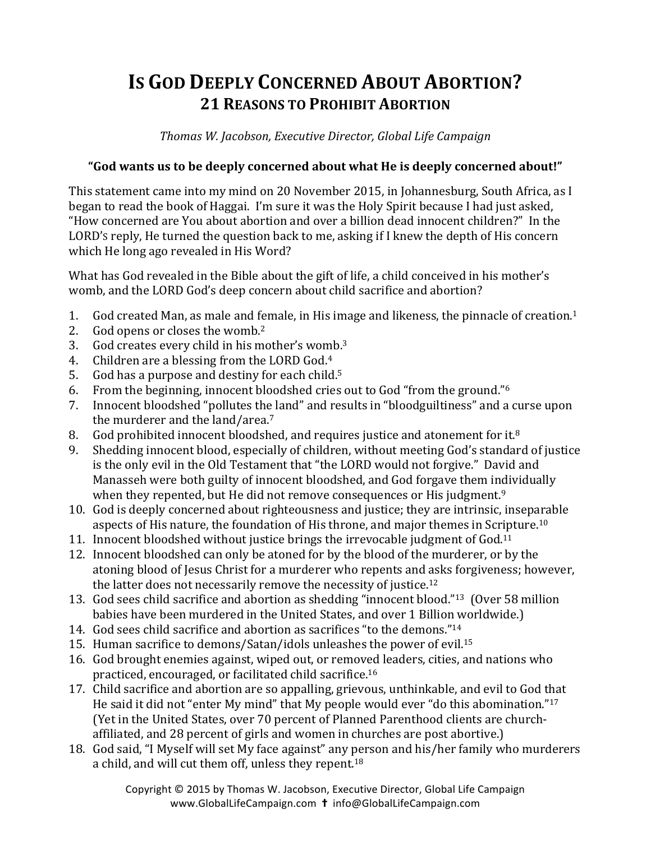## **IS GOD DEEPLY CONCERNED ABOUT ABORTION? 21 REASONS TO PROHIBIT ABORTION**

*Thomas W. Jacobson, Executive Director, Global Life Campaign*

## "God wants us to be deeply concerned about what He is deeply concerned about!"

This statement came into my mind on 20 November 2015, in Johannesburg, South Africa, as I began to read the book of Haggai. I'm sure it was the Holy Spirit because I had just asked, "How concerned are You about abortion and over a billion dead innocent children?" In the LORD's reply, He turned the question back to me, asking if I knew the depth of His concern which He long ago revealed in His Word?

What has God revealed in the Bible about the gift of life, a child conceived in his mother's womb, and the LORD God's deep concern about child sacrifice and abortion?

- 1. God created Man, as male and female, in His image and likeness, the pinnacle of creation.<sup>1</sup>
- 2. God opens or closes the womb.<sup>2</sup>
- 3. God creates every child in his mother's womb. $3$
- 4. Children are a blessing from the LORD God. $4$
- 5. God has a purpose and destiny for each child.<sup>5</sup>
- 6. From the beginning, innocent bloodshed cries out to God "from the ground."<sup>6</sup>
- 7. Innocent bloodshed "pollutes the land" and results in "bloodguiltiness" and a curse upon the murderer and the land/area. $7$
- 8. God prohibited innocent bloodshed, and requires justice and atonement for it.<sup>8</sup>
- 9. Shedding innocent blood, especially of children, without meeting God's standard of justice is the only evil in the Old Testament that "the LORD would not forgive." David and Manasseh were both guilty of innocent bloodshed, and God forgave them individually when they repented, but He did not remove consequences or His judgment.<sup>9</sup>
- 10. God is deeply concerned about righteousness and justice; they are intrinsic, inseparable aspects of His nature, the foundation of His throne, and major themes in Scripture.<sup>10</sup>
- 11. Innocent bloodshed without justice brings the irrevocable judgment of God.<sup>11</sup>
- 12. Innocent bloodshed can only be atoned for by the blood of the murderer, or by the atoning blood of Jesus Christ for a murderer who repents and asks forgiveness; however, the latter does not necessarily remove the necessity of justice. $12$
- 13. God sees child sacrifice and abortion as shedding "innocent blood."<sup>13</sup> (Over 58 million babies have been murdered in the United States, and over 1 Billion worldwide.)
- 14. God sees child sacrifice and abortion as sacrifices "to the demons."<sup>14</sup>
- 15. Human sacrifice to demons/Satan/idols unleashes the power of evil.<sup>15</sup>
- 16. God brought enemies against, wiped out, or removed leaders, cities, and nations who practiced, encouraged, or facilitated child sacrifice.<sup>16</sup>
- 17. Child sacrifice and abortion are so appalling, grievous, unthinkable, and evil to God that He said it did not "enter My mind" that My people would ever "do this abomination."<sup>17</sup> (Yet in the United States, over 70 percent of Planned Parenthood clients are churchaffiliated, and 28 percent of girls and women in churches are post abortive.)
- 18. God said, "I Myself will set My face against" any person and his/her family who murderers a child, and will cut them off, unless they repent.<sup>18</sup>